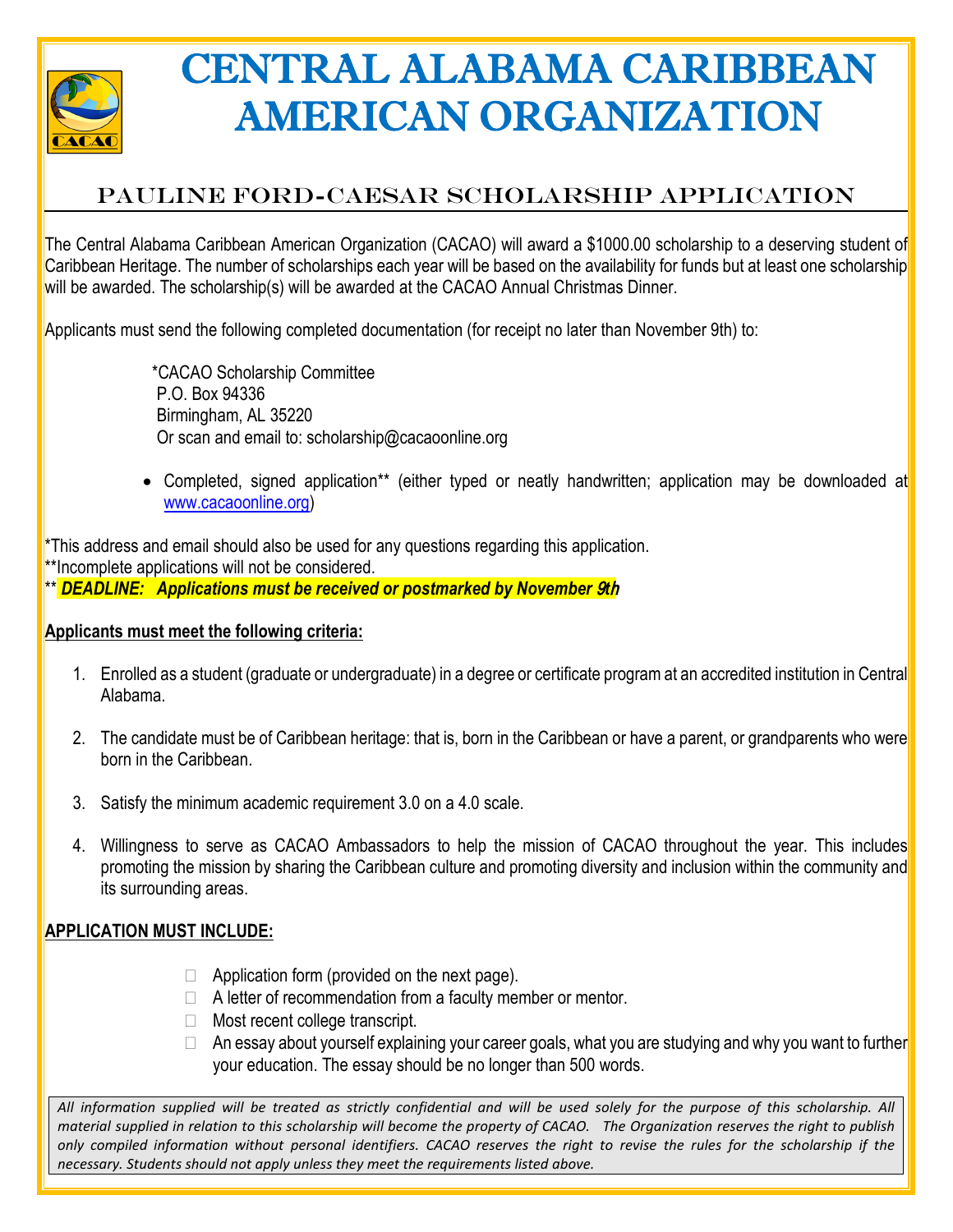

## CENTRAL ALABAMA CARIBBEAN AMERICAN ORGANIZATION

## PAULINE FORD-CAESAR SCHOLARSHIP APPLICATION

The Central Alabama Caribbean American Organization (CACAO) will award a \$1000.00 scholarship to a deserving student of Caribbean Heritage. The number of scholarships each year will be based on the availability for funds but at least one scholarship will be awarded. The scholarship(s) will be awarded at the CACAO Annual Christmas Dinner.

Applicants must send the following completed documentation (for receipt no later than November 9th) to:

\*CACAO Scholarship Committee P.O. Box 94336 Birmingham, AL 35220 Or scan and email to: scholarship@cacaoonline.org

• Completed, signed application\*\* (either typed or neatly handwritten; application may be downloaded at [www.cacaoonline.org\)](http://www.cacaoonline.org/)

\*This address and email should also be used for any questions regarding this application.

\*\*Incomplete applications will not be considered.

\*\* *DEADLINE: Applications must be received or postmarked by November* 9*t*h

## **Applicants must meet the following criteria:**

- 1. Enrolled as a student (graduate or undergraduate) in a degree or certificate program at an accredited institution in Central Alabama.
- 2. The candidate must be of Caribbean heritage: that is, born in the Caribbean or have a parent, or grandparents who were born in the Caribbean.
- 3. Satisfy the minimum academic requirement 3.0 on a 4.0 scale.
- 4. Willingness to serve as CACAO Ambassadors to help the mission of CACAO throughout the year. This includes promoting the mission by sharing the Caribbean culture and promoting diversity and inclusion within the community and its surrounding areas.

## **APPLICATION MUST INCLUDE:**

- $\Box$  Application form (provided on the next page).
- $\Box$  A letter of recommendation from a faculty member or mentor.
- □ Most recent college transcript.
- □ An essay about yourself explaining your career goals, what you are studying and why you want to further your education. The essay should be no longer than 500 words.

*All information supplied will be treated as strictly confidential and will be used solely for the purpose of this scholarship. All material supplied in relation to this scholarship will become the property of CACAO. The Organization reserves the right to publish only compiled information without personal identifiers. CACAO reserves the right to revise the rules for the scholarship if the necessary. Students should not apply unless they meet the requirements listed above.*